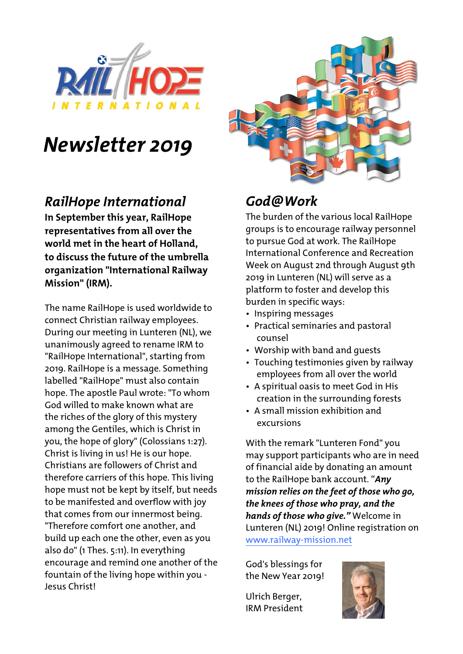

# *Newsletter 2019*

#### *RailHope International*

**In September this year, RailHope representatives from all over the world met in the heart of Holland, to discuss the future of the umbrella organization "International Railway Mission" (IRM).**

The name RailHope is used worldwide to connect Christian railway employees. During our meeting in Lunteren (NL), we unanimously agreed to rename IRM to "RailHope International", starting from 2019. RailHope is a message. Something labelled "RailHope" must also contain hope. The apostle Paul wrote: "To whom God willed to make known what are the riches of the glory of this mystery among the Gentiles, which is Christ in you, the hope of glory" (Colossians 1:27). Christ is living in us! He is our hope. Christians are followers of Christ and therefore carriers of this hope. This living hope must not be kept by itself, but needs to be manifested and overflow with joy that comes from our innermost being. "Therefore comfort one another, and build up each one the other, even as you also do" (1 Thes. 5:11). In everything encourage and remind one another of the fountain of the living hope within you - Jesus Christ!



### *God@Work*

The burden of the various local RailHope groups is to encourage railway personnel to pursue God at work. The RailHope International Conference and Recreation Week on August 2nd through August 9th 2019 in Lunteren (NL) will serve as a platform to foster and develop this burden in specific ways:

- Inspiring messages
- Practical seminaries and pastoral counsel
- Worship with band and guests
- Touching testimonies given by railway employees from all over the world
- A spiritual oasis to meet God in His creation in the surrounding forests
- A small mission exhibition and excursions

With the remark "Lunteren Fond" you may support participants who are in need of financial aide by donating an amount to the RailHope bank account. "*Any mission relies on the feet of those who go, the knees of those who pray, and the hands of those who give."* Welcome in Lunteren (NL) 2019! Online registration on www.railway-mission.net

God's blessings for the New Year 2019!

Ulrich Berger, IRM President